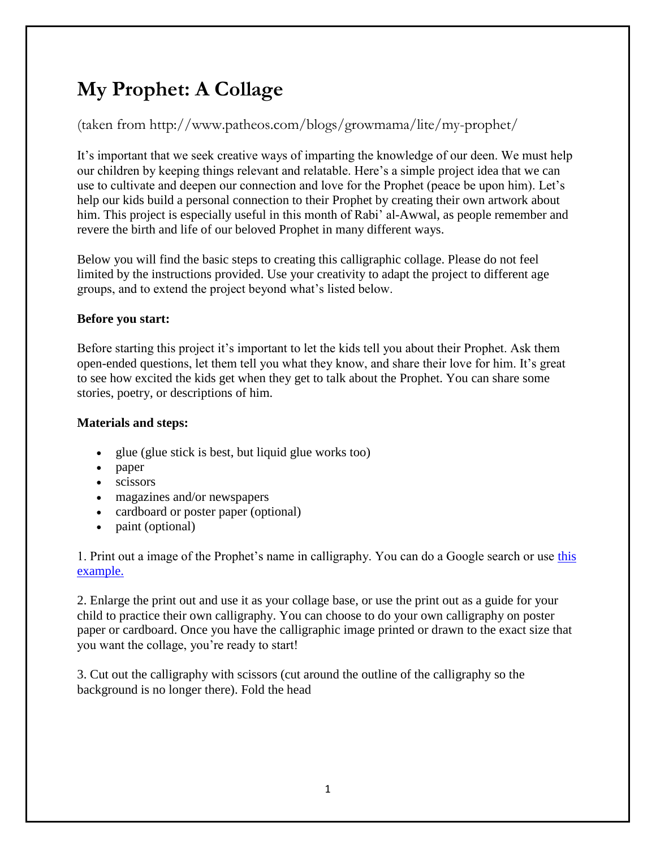# **My Prophet: A Collage**

### (taken from http://www.patheos.com/blogs/growmama/lite/my-prophet/

It's important that we seek creative ways of imparting the knowledge of our deen. We must help our children by keeping things relevant and relatable. Here's a simple project idea that we can use to cultivate and deepen our connection and love for the Prophet (peace be upon him). Let's help our kids build a personal connection to their Prophet by creating their own artwork about him. This project is especially useful in this month of Rabi' al-Awwal, as people remember and revere the birth and life of our beloved Prophet in many different ways.

Below you will find the basic steps to creating this calligraphic collage. Please do not feel limited by the instructions provided. Use your creativity to adapt the project to different age groups, and to extend the project beyond what's listed below.

#### **Before you start:**

Before starting this project it's important to let the kids tell you about their Prophet. Ask them open-ended questions, let them tell you what they know, and share their love for him. It's great to see how excited the kids get when they get to talk about the Prophet. You can share some stories, poetry, or descriptions of him.

#### **Materials and steps:**

- glue (glue stick is best, but liquid glue works too)
- paper
- scissors
- magazines and/or newspapers
- cardboard or poster paper (optional)
- paint (optional)

1. Print out a image of the Prophet's name in calligraphy. You can do a Google search or use [this](http://www.clker.com/cliparts/3/a/5/a/1248399275887515453muhammed-pbuh.svg.med.png)  [example.](http://www.clker.com/cliparts/3/a/5/a/1248399275887515453muhammed-pbuh.svg.med.png)

2. Enlarge the print out and use it as your collage base, or use the print out as a guide for your child to practice their own calligraphy. You can choose to do your own calligraphy on poster paper or cardboard. Once you have the calligraphic image printed or drawn to the exact size that you want the collage, you're ready to start!

3. Cut out the calligraphy with scissors (cut around the outline of the calligraphy so the background is no longer there). Fold the head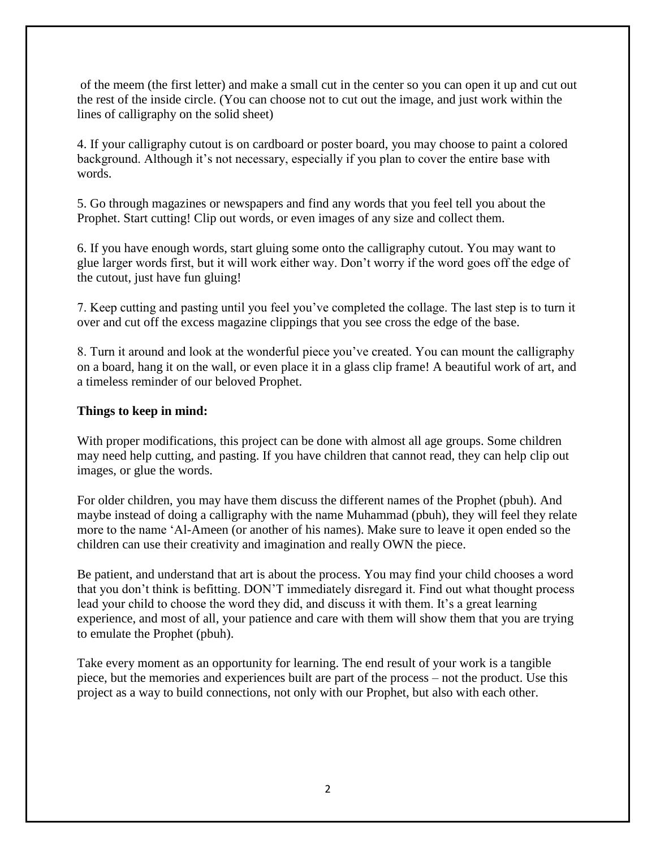of the meem (the first letter) and make a small cut in the center so you can open it up and cut out the rest of the inside circle. (You can choose not to cut out the image, and just work within the lines of calligraphy on the solid sheet)

4. If your calligraphy cutout is on cardboard or poster board, you may choose to paint a colored background. Although it's not necessary, especially if you plan to cover the entire base with words.

5. Go through magazines or newspapers and find any words that you feel tell you about the Prophet. Start cutting! Clip out words, or even images of any size and collect them.

6. If you have enough words, start gluing some onto the calligraphy cutout. You may want to glue larger words first, but it will work either way. Don't worry if the word goes off the edge of the cutout, just have fun gluing!

7. Keep cutting and pasting until you feel you've completed the collage. The last step is to turn it over and cut off the excess magazine clippings that you see cross the edge of the base.

8. Turn it around and look at the wonderful piece you've created. You can mount the calligraphy on a board, hang it on the wall, or even place it in a glass clip frame! A beautiful work of art, and a timeless reminder of our beloved Prophet.

#### **Things to keep in mind:**

With proper modifications, this project can be done with almost all age groups. Some children may need help cutting, and pasting. If you have children that cannot read, they can help clip out images, or glue the words.

For older children, you may have them discuss the different names of the Prophet (pbuh). And maybe instead of doing a calligraphy with the name Muhammad (pbuh), they will feel they relate more to the name 'Al-Ameen (or another of his names). Make sure to leave it open ended so the children can use their creativity and imagination and really OWN the piece.

Be patient, and understand that art is about the process. You may find your child chooses a word that you don't think is befitting. DON'T immediately disregard it. Find out what thought process lead your child to choose the word they did, and discuss it with them. It's a great learning experience, and most of all, your patience and care with them will show them that you are trying to emulate the Prophet (pbuh).

Take every moment as an opportunity for learning. The end result of your work is a tangible piece, but the memories and experiences built are part of the process – not the product. Use this project as a way to build connections, not only with our Prophet, but also with each other.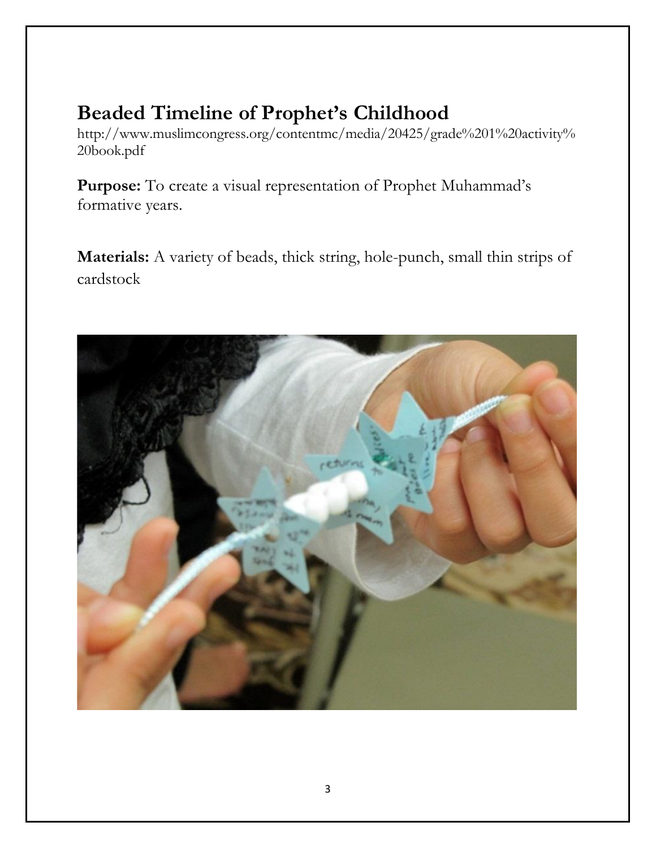## **Beaded Timeline of Prophet's Childhood**

http://www.muslimcongress.org/contentmc/media/20425/grade%201%20activity% 20book.pdf

**Purpose:** To create a visual representation of Prophet Muhammad's formative years.

**Materials:** A variety of beads, thick string, hole-punch, small thin strips of cardstock